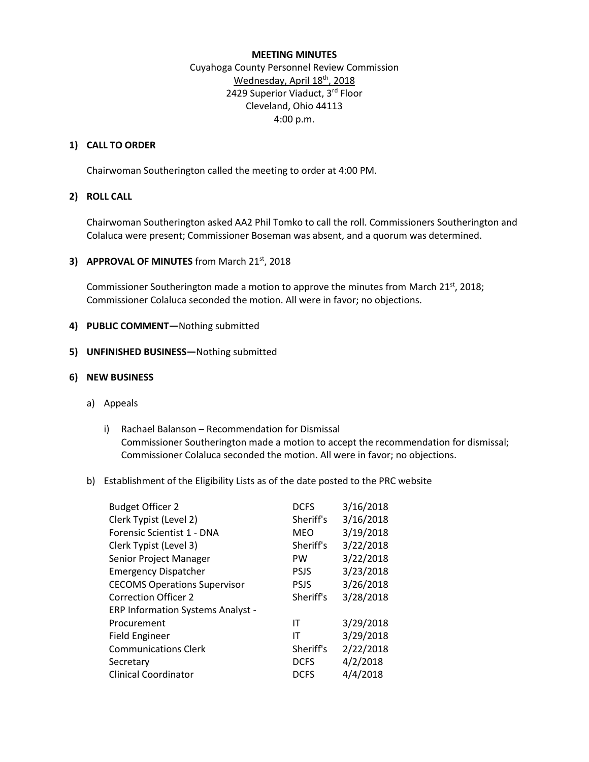#### **MEETING MINUTES**

# Cuyahoga County Personnel Review Commission Wednesday, April 18th, 2018 2429 Superior Viaduct, 3rd Floor Cleveland, Ohio 44113 4:00 p.m.

### **1) CALL TO ORDER**

Chairwoman Southerington called the meeting to order at 4:00 PM.

## **2) ROLL CALL**

Chairwoman Southerington asked AA2 Phil Tomko to call the roll. Commissioners Southerington and Colaluca were present; Commissioner Boseman was absent, and a quorum was determined.

### **3) APPROVAL OF MINUTES** from March 21<sup>st</sup>, 2018

Commissioner Southerington made a motion to approve the minutes from March 21<sup>st</sup>, 2018; Commissioner Colaluca seconded the motion. All were in favor; no objections.

### **4) PUBLIC COMMENT—**Nothing submitted

### **5) UNFINISHED BUSINESS—**Nothing submitted

### **6) NEW BUSINESS**

- a) Appeals
	- i) Rachael Balanson Recommendation for Dismissal Commissioner Southerington made a motion to accept the recommendation for dismissal; Commissioner Colaluca seconded the motion. All were in favor; no objections.
- b) Establishment of the Eligibility Lists as of the date posted to the PRC website

| <b>Budget Officer 2</b>                  | <b>DCFS</b> | 3/16/2018 |
|------------------------------------------|-------------|-----------|
| Clerk Typist (Level 2)                   | Sheriff's   | 3/16/2018 |
| Forensic Scientist 1 - DNA               | MEO         | 3/19/2018 |
| Clerk Typist (Level 3)                   | Sheriff's   | 3/22/2018 |
| Senior Project Manager                   | <b>PW</b>   | 3/22/2018 |
| <b>Emergency Dispatcher</b>              | <b>PSJS</b> | 3/23/2018 |
| <b>CECOMS Operations Supervisor</b>      | <b>PSJS</b> | 3/26/2018 |
| Correction Officer 2                     | Sheriff's   | 3/28/2018 |
| <b>ERP Information Systems Analyst -</b> |             |           |
| Procurement                              | ΙT          | 3/29/2018 |
| <b>Field Engineer</b>                    | ΙT          | 3/29/2018 |
| <b>Communications Clerk</b>              | Sheriff's   | 2/22/2018 |
| Secretary                                | <b>DCFS</b> | 4/2/2018  |
| <b>Clinical Coordinator</b>              | <b>DCFS</b> | 4/4/2018  |